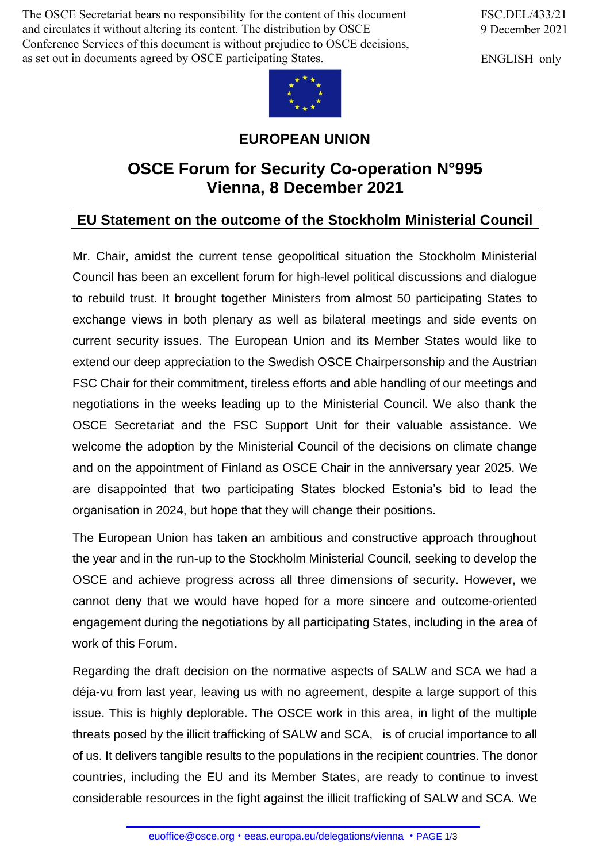The OSCE Secretariat bears no responsibility for the content of this document and circulates it without altering its content. The distribution by OSCE Conference Services of this document is without prejudice to OSCE decisions, as set out in documents agreed by OSCE participating States.

FSC.DEL/433/21 9 December 2021

ENGLISH only



## **EUROPEAN UNION**

## **OSCE Forum for Security Co-operation N°995 Vienna, 8 December 2021**

## **EU Statement on the outcome of the Stockholm Ministerial Council**

Mr. Chair, amidst the current tense geopolitical situation the Stockholm Ministerial Council has been an excellent forum for high-level political discussions and dialogue to rebuild trust. It brought together Ministers from almost 50 participating States to exchange views in both plenary as well as bilateral meetings and side events on current security issues. The European Union and its Member States would like to extend our deep appreciation to the Swedish OSCE Chairpersonship and the Austrian FSC Chair for their commitment, tireless efforts and able handling of our meetings and negotiations in the weeks leading up to the Ministerial Council. We also thank the OSCE Secretariat and the FSC Support Unit for their valuable assistance. We welcome the adoption by the Ministerial Council of the decisions on climate change and on the appointment of Finland as OSCE Chair in the anniversary year 2025. We are disappointed that two participating States blocked Estonia's bid to lead the organisation in 2024, but hope that they will change their positions.

The European Union has taken an ambitious and constructive approach throughout the year and in the run-up to the Stockholm Ministerial Council, seeking to develop the OSCE and achieve progress across all three dimensions of security. However, we cannot deny that we would have hoped for a more sincere and outcome-oriented engagement during the negotiations by all participating States, including in the area of work of this Forum.

Regarding the draft decision on the normative aspects of SALW and SCA we had a déja-vu from last year, leaving us with no agreement, despite a large support of this issue. This is highly deplorable. The OSCE work in this area, in light of the multiple threats posed by the illicit trafficking of SALW and SCA, is of crucial importance to all of us. It delivers tangible results to the populations in the recipient countries. The donor countries, including the EU and its Member States, are ready to continue to invest considerable [resources](mailto:euoffice@osce.org) in the f[ight against the illicit trafficking](http://eeas.europa.eu/delegations/vienna) of SALW and SCA. We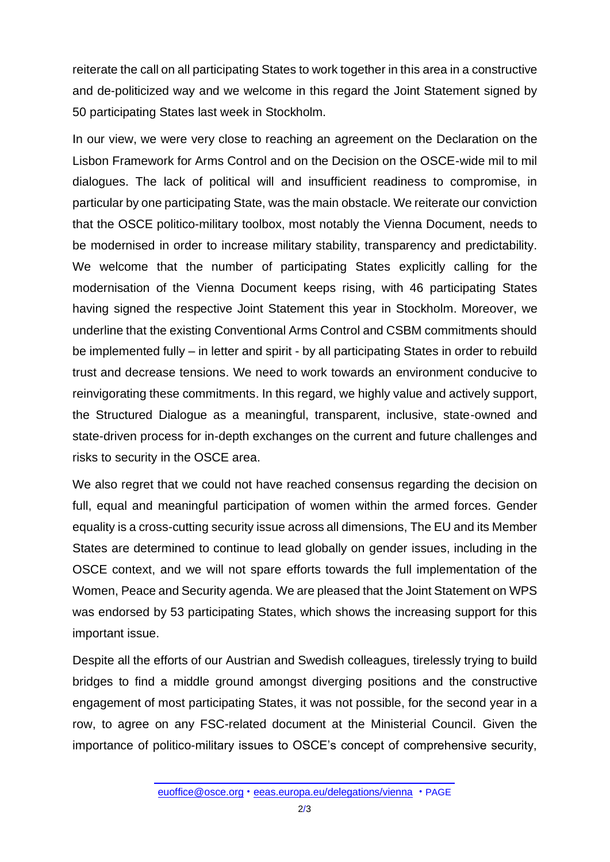reiterate the call on all participating States to work together in this area in a constructive and de-politicized way and we welcome in this regard the Joint Statement signed by 50 participating States last week in Stockholm.

In our view, we were very close to reaching an agreement on the Declaration on the Lisbon Framework for Arms Control and on the Decision on the OSCE-wide mil to mil dialogues. The lack of political will and insufficient readiness to compromise, in particular by one participating State, was the main obstacle. We reiterate our conviction that the OSCE politico-military toolbox, most notably the Vienna Document, needs to be modernised in order to increase military stability, transparency and predictability. We welcome that the number of participating States explicitly calling for the modernisation of the Vienna Document keeps rising, with 46 participating States having signed the respective Joint Statement this year in Stockholm. Moreover, we underline that the existing Conventional Arms Control and CSBM commitments should be implemented fully – in letter and spirit - by all participating States in order to rebuild trust and decrease tensions. We need to work towards an environment conducive to reinvigorating these commitments. In this regard, we highly value and actively support, the Structured Dialogue as a meaningful, transparent, inclusive, state-owned and state-driven process for in-depth exchanges on the current and future challenges and risks to security in the OSCE area.

We also regret that we could not have reached consensus regarding the decision on full, equal and meaningful participation of women within the armed forces. Gender equality is a cross-cutting security issue across all dimensions, The EU and its Member States are determined to continue to lead globally on gender issues, including in the OSCE context, and we will not spare efforts towards the full implementation of the Women, Peace and Security agenda. We are pleased that the Joint Statement on WPS was endorsed by 53 participating States, which shows the increasing support for this important issue.

Despite all the efforts of our Austrian and Swedish colleagues, tirelessly trying to build bridges to find a middle ground amongst diverging positions and the constructive engagement of most participating States, it was not possible, for the second year in a row, to agree on any FSC-related document at the Ministerial Council. Given the importance of politico-military issues to OSCE's concept of comprehensive security,

[euoffice@osce.org](mailto:euoffice@osce.org) • [eeas.europa.eu/delegations/vienna](http://eeas.europa.eu/delegations/vienna) • PAGE